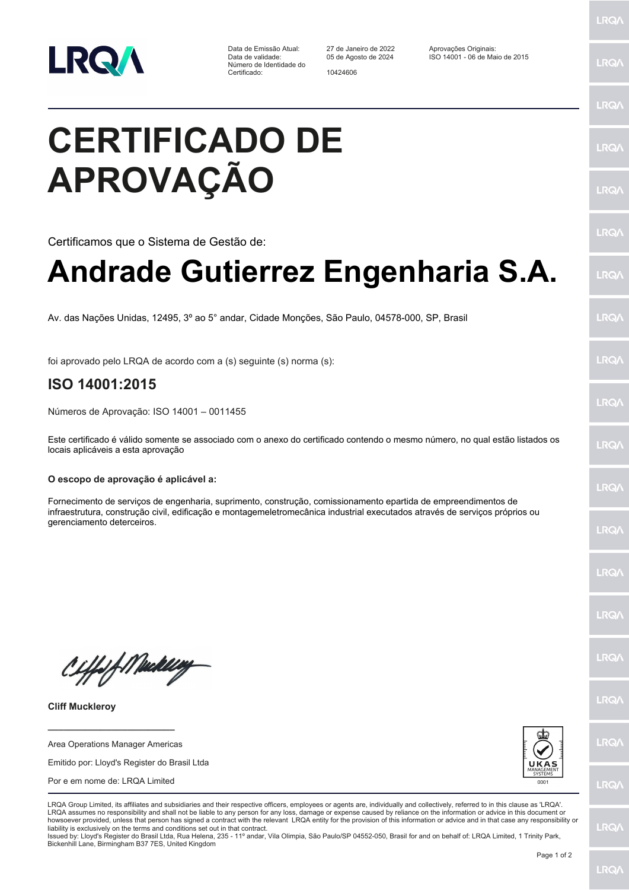

Data de Emissão Atual: 27 de Janeiro de 2022 Aprovações Originais: Número de Identidade do Certificado: 10424606

Data de validade: 05 de Agosto de 2024 ISO 14001 - 06 de Maio de 2015

## **CERTIFICADO DE APROVAÇÃO**

Certificamos que o Sistema de Gestão de:

## **Andrade Gutierrez Engenharia S.A.**

Av. das Nações Unidas, 12495, 3º ao 5° andar, Cidade Monções, São Paulo, 04578-000, SP, Brasil

foi aprovado pelo LRQA de acordo com a (s) seguinte (s) norma (s):

## **ISO 14001:2015**

Números de Aprovação: ISO 14001 – 0011455

Este certificado é válido somente se associado com o anexo do certificado contendo o mesmo número, no qual estão listados os locais aplicáveis a esta aprovação

## **O escopo de aprovação é aplicável a:**

Fornecimento de serviços de engenharia, suprimento, construção, comissionamento epartida de empreendimentos de infraestrutura, construção civil, edificação e montagemeletromecânica industrial executados através de serviços próprios ou gerenciamento deterceiros.

Ciffeft Medal

**Cliff Muckleroy**

Area Operations Manager Americas

**\_\_\_\_\_\_\_\_\_\_\_\_\_\_\_\_\_\_\_\_\_\_\_\_**

Emitido por: Lloyd's Register do Brasil Ltda

Por e em nome de: LRQA Limited



LRQA Group Limited, its affiliates and subsidiaries and their respective officers, employees or agents are, individually and collectively, referred to in this clause as 'LRQA'. LRQA assumes no responsibility and shall not be liable to any person for any loss, damage or expense caused by reliance on the information or advice in this document or howsoever provided, unless that person has signed a contract with the relevant LRQA entity for the provision of this information or advice and in that case any responsibility or liability is exclusively on the terms and conditions set out in that contract.

Issued by: Lloyd's Register do Brasil Ltda, Rua Helena, 235 - 11º andar, Vila Olimpia, São Paulo/SP 04552-050, Brasil for and on behalf of: LRQA Limited, 1 Trinity Park, Bickenhill Lane, Birmingham B37 7ES, United Kingdom

**LRQA** 

LRQ/

**LRQ/** 

LRQ/

LRQ/

LRQ/

LRQ/

LRQ/

**LRQA** 

LRQ/

LRQ/

LRQ/

**LRQ/** 

**LRQ/** 

LRQ/

**IRQA** 

LRQ/

LRQ/

**LRQ/** 

LRQ/